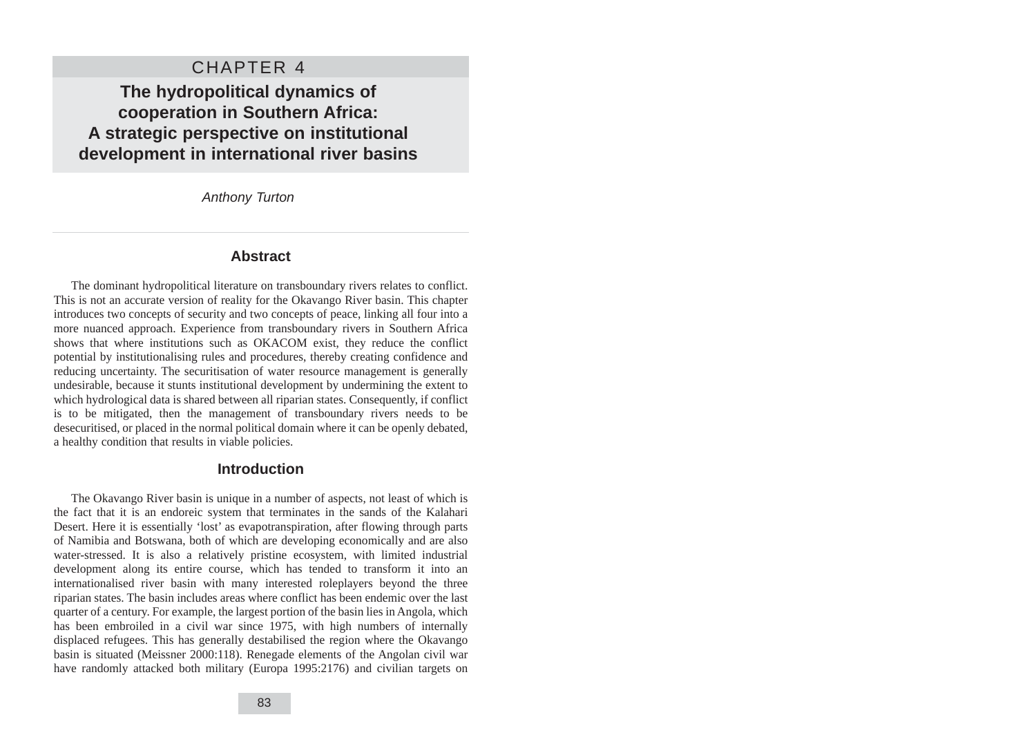# CHAPTER 4

# **The hydropolitical dynamics of cooperation in Southern Africa: A strategic perspective on institutional development in international river basins**

Anthony Turton

### **Abstract**

The dominant hydropolitical literature on transboundary rivers relates to conflict. This is not an accurate version of reality for the Okavango River basin. This chapter introduces two concepts of security and two concepts of peace, linking all four into a more nuanced approach. Experience from transboundary rivers in Southern Africa shows that where institutions such as OKACOM exist, they reduce the conflict potential by institutionalising rules and procedures, thereby creating confidence and reducing uncertainty. The securitisation of water resource management is generally undesirable, because it stunts institutional development by undermining the extent to which hydrological data is shared between all riparian states. Consequently, if conflict is to be mitigated, then the management of transboundary rivers needs to be desecuritised, or placed in the normal political domain where it can be openly debated, a healthy condition that results in viable policies.

#### **Introduction**

The Okavango River basin is unique in a number of aspects, not least of which is the fact that it is an endoreic system that terminates in the sands of the Kalahari Desert. Here it is essentially 'lost' as evapotranspiration, after flowing through parts of Namibia and Botswana, both of which are developing economically and are also water-stressed. It is also a relatively pristine ecosystem, with limited industrial development along its entire course, which has tended to transform it into an internationalised river basin with many interested roleplayers beyond the three riparian states. The basin includes areas where conflict has been endemic over the last quarter of a century. For example, the largest portion of the basin lies in Angola, which has been embroiled in a civil war since 1975, with high numbers of internally displaced refugees. This has generally destabilised the region where the Okavango basin is situated (Meissner 2000:118). Renegade elements of the Angolan civil war have randomly attacked both military (Europa 1995:2176) and civilian targets on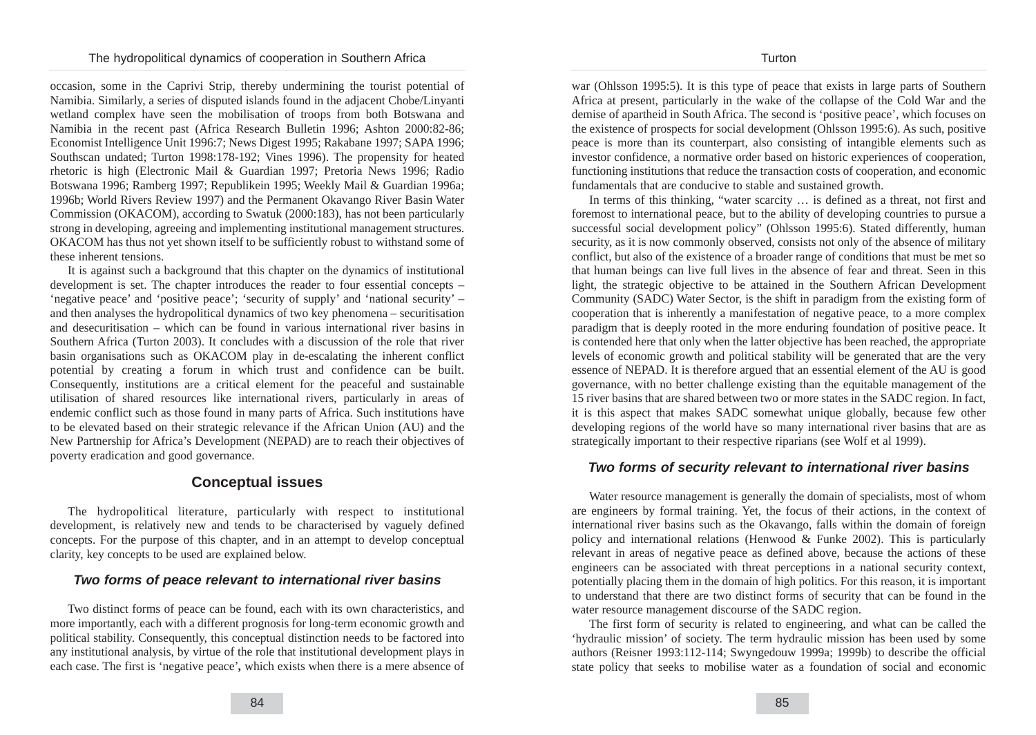occasion, some in the Caprivi Strip, thereby undermining the tourist potential of Namibia. Similarly, a series of disputed islands found in the adjacent Chobe/Linyanti wetland complex have seen the mobilisation of troops from both Botswana and Namibia in the recent past (Africa Research Bulletin 1996; Ashton 2000:82-86; Economist Intelligence Unit 1996:7; News Digest 1995; Rakabane 1997; SAPA 1996; Southscan undated; Turton 1998:178-192; Vines 1996). The propensity for heated rhetoric is high (Electronic Mail & Guardian 1997; Pretoria News 1996; Radio Botswana 1996; Ramberg 1997; Republikein 1995; Weekly Mail & Guardian 1996a; 1996b; World Rivers Review 1997) and the Permanent Okavango River Basin Water Commission (OKACOM), according to Swatuk (2000:183), has not been particularly strong in developing, agreeing and implementing institutional management structures. OKACOM has thus not yet shown itself to be sufficiently robust to withstand some of these inherent tensions.

It is against such a background that this chapter on the dynamics of institutional development is set. The chapter introduces the reader to four essential concepts – 'negative peace' and 'positive peace'; 'security of supply' and 'national security' – and then analyses the hydropolitical dynamics of two key phenomena – securitisation and desecuritisation – which can be found in various international river basins in Southern Africa (Turton 2003). It concludes with a discussion of the role that river basin organisations such as OKACOM play in de-escalating the inherent conflict potential by creating a forum in which trust and confidence can be built. Consequently, institutions are a critical element for the peaceful and sustainable utilisation of shared resources like international rivers, particularly in areas of endemic conflict such as those found in many parts of Africa. Such institutions have to be elevated based on their strategic relevance if the African Union (AU) and the New Partnership for Africa's Development (NEPAD) are to reach their objectives of poverty eradication and good governance.

# **Conceptual issues**

The hydropolitical literature, particularly with respect to institutional development, is relatively new and tends to be characterised by vaguely defined concepts. For the purpose of this chapter, and in an attempt to develop conceptual clarity, key concepts to be used are explained below.

### **Two forms of peace relevant to international river basins**

Two distinct forms of peace can be found, each with its own characteristics, and more importantly, each with a different prognosis for long-term economic growth and political stability. Consequently, this conceptual distinction needs to be factored into any institutional analysis, by virtue of the role that institutional development plays in each case. The first is 'negative peace'*,* which exists when there is a mere absence of war (Ohlsson 1995:5). It is this type of peace that exists in large parts of Southern Africa at present, particularly in the wake of the collapse of the Cold War and the demise of apartheid in South Africa. The second is 'positive peace', which focuses on the existence of prospects for social development (Ohlsson 1995:6). As such, positive peace is more than its counterpart, also consisting of intangible elements such as investor confidence, a normative order based on historic experiences of cooperation, functioning institutions that reduce the transaction costs of cooperation, and economic fundamentals that are conducive to stable and sustained growth.

In terms of this thinking, "water scarcity … is defined as a threat, not first and foremost to international peace, but to the ability of developing countries to pursue a successful social development policy" (Ohlsson 1995:6). Stated differently, human security, as it is now commonly observed, consists not only of the absence of military conflict, but also of the existence of a broader range of conditions that must be met so that human beings can live full lives in the absence of fear and threat. Seen in this light, the strategic objective to be attained in the Southern African Development Community (SADC) Water Sector, is the shift in paradigm from the existing form of cooperation that is inherently a manifestation of negative peace, to a more complex paradigm that is deeply rooted in the more enduring foundation of positive peace. It is contended here that only when the latter objective has been reached, the appropriate levels of economic growth and political stability will be generated that are the very essence of NEPAD. It is therefore argued that an essential element of the AU is good governance, with no better challenge existing than the equitable management of the 15 river basins that are shared between two or more states in the SADC region. In fact, it is this aspect that makes SADC somewhat unique globally, because few other developing regions of the world have so many international river basins that are as strategically important to their respective riparians (see Wolf et al 1999).

### **Two forms of security relevant to international river basins**

Water resource management is generally the domain of specialists, most of whom are engineers by formal training. Yet, the focus of their actions, in the context of international river basins such as the Okavango, falls within the domain of foreign policy and international relations (Henwood  $\&$  Funke 2002). This is particularly relevant in areas of negative peace as defined above, because the actions of these engineers can be associated with threat perceptions in a national security context, potentially placing them in the domain of high politics. For this reason, it is important to understand that there are two distinct forms of security that can be found in the water resource management discourse of the SADC region.

The first form of security is related to engineering, and what can be called the 'hydraulic mission' of society. The term hydraulic mission has been used by some authors (Reisner 1993:112-114; Swyngedouw 1999a; 1999b) to describe the official state policy that seeks to mobilise water as a foundation of social and economic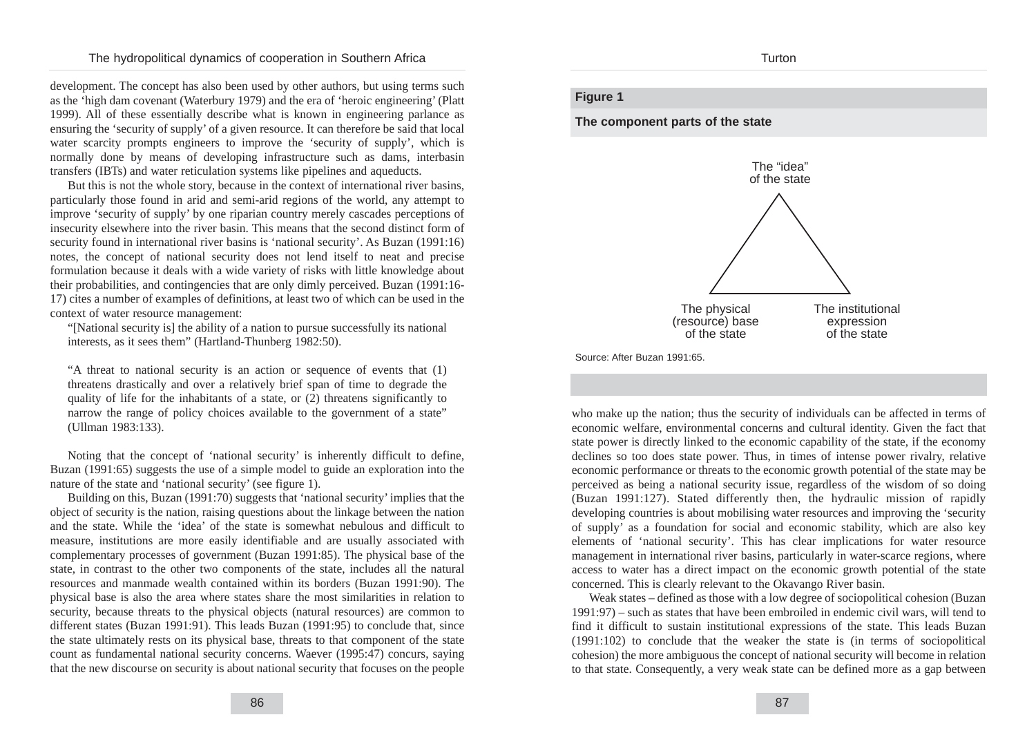development. The concept has also been used by other authors, but using terms such as the 'high dam covenant (Waterbury 1979) and the era of 'heroic engineering' (Platt 1999). All of these essentially describe what is known in engineering parlance as ensuring the 'security of supply' of a given resource. It can therefore be said that local water scarcity prompts engineers to improve the 'security of supply', which is normally done by means of developing infrastructure such as dams, interbasin transfers (IBTs) and water reticulation systems like pipelines and aqueducts.

But this is not the whole story, because in the context of international river basins, particularly those found in arid and semi-arid regions of the world, any attempt to improve 'security of supply' by one riparian country merely cascades perceptions of insecurity elsewhere into the river basin. This means that the second distinct form of security found in international river basins is 'national security'. As Buzan (1991:16) notes, the concept of national security does not lend itself to neat and precise formulation because it deals with a wide variety of risks with little knowledge about their probabilities, and contingencies that are only dimly perceived. Buzan (1991:16- 17) cites a number of examples of definitions, at least two of which can be used in the context of water resource management:

"[National security is] the ability of a nation to pursue successfully its national interests, as it sees them" (Hartland-Thunberg 1982:50).

"A threat to national security is an action or sequence of events that (1) threatens drastically and over a relatively brief span of time to degrade the quality of life for the inhabitants of a state, or (2) threatens significantly to narrow the range of policy choices available to the government of a state" (Ullman 1983:133).

Noting that the concept of 'national security' is inherently difficult to define, Buzan (1991:65) suggests the use of a simple model to guide an exploration into the nature of the state and 'national security' (see figure 1).

Building on this, Buzan (1991:70) suggests that 'national security' implies that the object of security is the nation, raising questions about the linkage between the nation and the state. While the 'idea' of the state is somewhat nebulous and difficult to measure, institutions are more easily identifiable and are usually associated with complementary processes of government (Buzan 1991:85). The physical base of the state, in contrast to the other two components of the state, includes all the natural resources and manmade wealth contained within its borders (Buzan 1991:90). The physical base is also the area where states share the most similarities in relation to security, because threats to the physical objects (natural resources) are common to different states (Buzan 1991:91). This leads Buzan (1991:95) to conclude that, since the state ultimately rests on its physical base, threats to that component of the state count as fundamental national security concerns. Waever (1995:47) concurs, saying that the new discourse on security is about national security that focuses on the people

#### **Turton**

#### **Figure 1**

#### **The component parts of the state**



Source: After Buzan 1991:65.

who make up the nation; thus the security of individuals can be affected in terms of economic welfare, environmental concerns and cultural identity. Given the fact that state power is directly linked to the economic capability of the state, if the economy declines so too does state power. Thus, in times of intense power rivalry, relative economic performance or threats to the economic growth potential of the state may be perceived as being a national security issue, regardless of the wisdom of so doing (Buzan 1991:127). Stated differently then, the hydraulic mission of rapidly developing countries is about mobilising water resources and improving the 'security of supply' as a foundation for social and economic stability, which are also key elements of 'national security'. This has clear implications for water resource management in international river basins, particularly in water-scarce regions, where access to water has a direct impact on the economic growth potential of the state concerned. This is clearly relevant to the Okavango River basin.

Weak states – defined as those with a low degree of sociopolitical cohesion (Buzan 1991:97) – such as states that have been embroiled in endemic civil wars, will tend to find it difficult to sustain institutional expressions of the state. This leads Buzan (1991:102) to conclude that the weaker the state is (in terms of sociopolitical cohesion) the more ambiguous the concept of national security will become in relation to that state. Consequently, a very weak state can be defined more as a gap between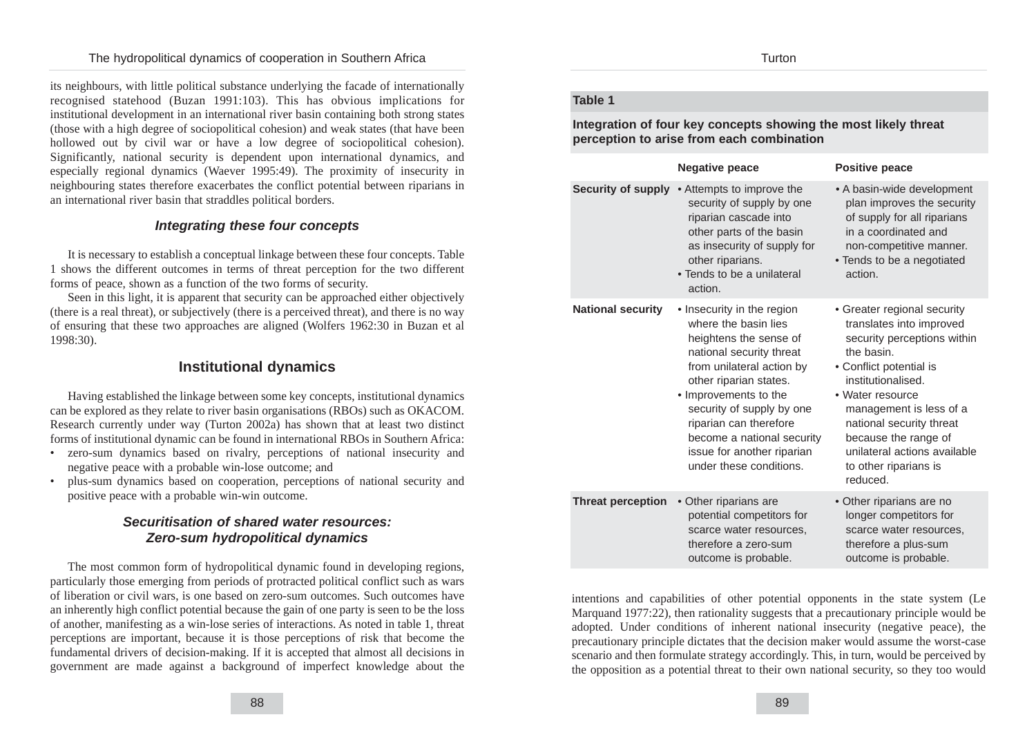its neighbours, with little political substance underlying the facade of internationally recognised statehood (Buzan 1991:103). This has obvious implications for institutional development in an international river basin containing both strong states (those with a high degree of sociopolitical cohesion) and weak states (that have been hollowed out by civil war or have a low degree of sociopolitical cohesion). Significantly, national security is dependent upon international dynamics, and especially regional dynamics (Waever 1995:49). The proximity of insecurity in neighbouring states therefore exacerbates the conflict potential between riparians in an international river basin that straddles political borders.

## **Integrating these four concepts**

It is necessary to establish a conceptual linkage between these four concepts. Table 1 shows the different outcomes in terms of threat perception for the two different forms of peace, shown as a function of the two forms of security.

Seen in this light, it is apparent that security can be approached either objectively (there is a real threat), or subjectively (there is a perceived threat), and there is no way of ensuring that these two approaches are aligned (Wolfers 1962:30 in Buzan et al 1998:30).

# **Institutional dynamics**

Having established the linkage between some key concepts, institutional dynamics can be explored as they relate to river basin organisations (RBOs) such as OKACOM. Research currently under way (Turton 2002a) has shown that at least two distinct forms of institutional dynamic can be found in international RBOs in Southern Africa:

- zero-sum dynamics based on rivalry, perceptions of national insecurity and negative peace with a probable win-lose outcome; and
- plus-sum dynamics based on cooperation, perceptions of national security and positive peace with a probable win-win outcome.

# **Securitisation of shared water resources: Zero-sum hydropolitical dynamics**

The most common form of hydropolitical dynamic found in developing regions, particularly those emerging from periods of protracted political conflict such as wars of liberation or civil wars, is one based on zero-sum outcomes. Such outcomes have an inherently high conflict potential because the gain of one party is seen to be the loss of another, manifesting as a win-lose series of interactions. As noted in table 1, threat perceptions are important, because it is those perceptions of risk that become the fundamental drivers of decision-making. If it is accepted that almost all decisions in government are made against a background of imperfect knowledge about the

#### **Table 1**

**Integration of four key concepts showing the most likely threat perception to arise from each combination**

|                           | <b>Negative peace</b>                                                                                                                                                                                                                                                                                                                  | <b>Positive peace</b>                                                                                                                                                                                                                                                                                                         |
|---------------------------|----------------------------------------------------------------------------------------------------------------------------------------------------------------------------------------------------------------------------------------------------------------------------------------------------------------------------------------|-------------------------------------------------------------------------------------------------------------------------------------------------------------------------------------------------------------------------------------------------------------------------------------------------------------------------------|
| <b>Security of supply</b> | • Attempts to improve the<br>security of supply by one<br>riparian cascade into<br>other parts of the basin<br>as insecurity of supply for<br>other riparians.<br>• Tends to be a unilateral<br>action.                                                                                                                                | • A basin-wide development<br>plan improves the security<br>of supply for all riparians<br>in a coordinated and<br>non-competitive manner.<br>• Tends to be a negotiated<br>action.                                                                                                                                           |
| <b>National security</b>  | • Insecurity in the region<br>where the basin lies<br>heightens the sense of<br>national security threat<br>from unilateral action by<br>other riparian states.<br>• Improvements to the<br>security of supply by one<br>riparian can therefore<br>become a national security<br>issue for another riparian<br>under these conditions. | • Greater regional security<br>translates into improved<br>security perceptions within<br>the basin.<br>• Conflict potential is<br>institutionalised.<br>• Water resource<br>management is less of a<br>national security threat<br>because the range of<br>unilateral actions available<br>to other riparians is<br>reduced. |
| <b>Threat perception</b>  | • Other riparians are<br>potential competitors for<br>scarce water resources,<br>therefore a zero-sum<br>outcome is probable.                                                                                                                                                                                                          | • Other riparians are no<br>longer competitors for<br>scarce water resources,<br>therefore a plus-sum<br>outcome is probable.                                                                                                                                                                                                 |

intentions and capabilities of other potential opponents in the state system (Le Marquand 1977:22), then rationality suggests that a precautionary principle would be adopted. Under conditions of inherent national insecurity (negative peace), the precautionary principle dictates that the decision maker would assume the worst-case scenario and then formulate strategy accordingly. This, in turn, would be perceived by the opposition as a potential threat to their own national security, so they too would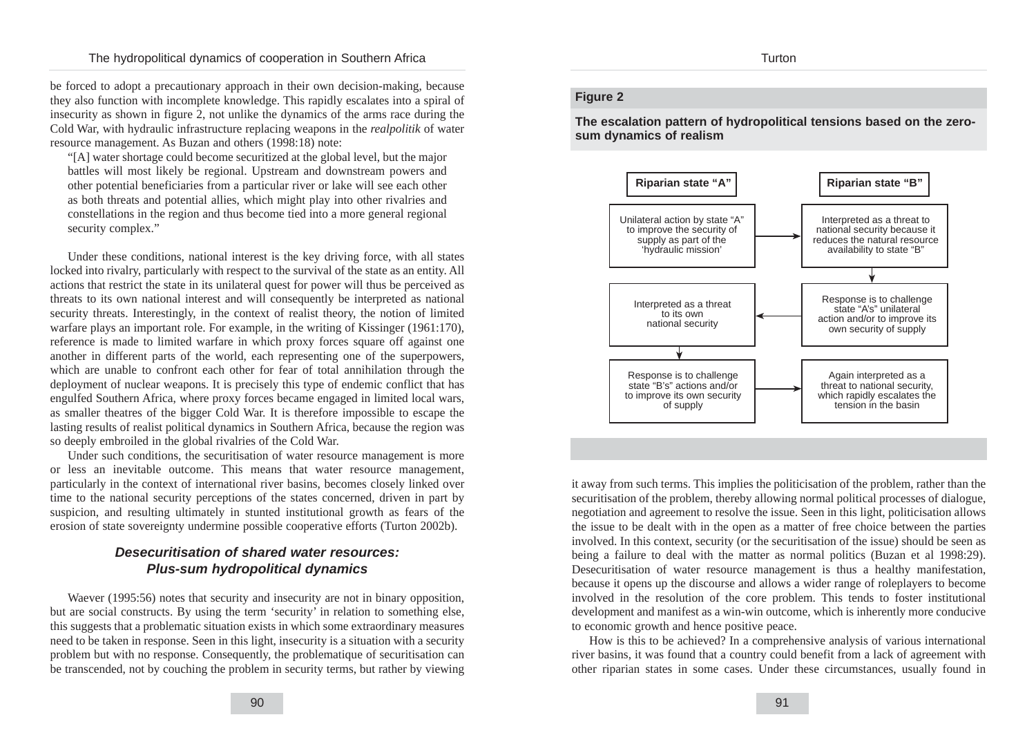be forced to adopt a precautionary approach in their own decision-making, because they also function with incomplete knowledge. This rapidly escalates into a spiral of insecurity as shown in figure 2, not unlike the dynamics of the arms race during the Cold War, with hydraulic infrastructure replacing weapons in the *realpolitik* of water resource management. As Buzan and others (1998:18) note:

"[A] water shortage could become securitized at the global level, but the major battles will most likely be regional. Upstream and downstream powers and other potential beneficiaries from a particular river or lake will see each other as both threats and potential allies, which might play into other rivalries and constellations in the region and thus become tied into a more general regional security complex."

Under these conditions, national interest is the key driving force, with all states locked into rivalry, particularly with respect to the survival of the state as an entity. All actions that restrict the state in its unilateral quest for power will thus be perceived as threats to its own national interest and will consequently be interpreted as national security threats. Interestingly, in the context of realist theory, the notion of limited warfare plays an important role. For example, in the writing of Kissinger (1961:170), reference is made to limited warfare in which proxy forces square off against one another in different parts of the world, each representing one of the superpowers, which are unable to confront each other for fear of total annihilation through the deployment of nuclear weapons. It is precisely this type of endemic conflict that has engulfed Southern Africa, where proxy forces became engaged in limited local wars, as smaller theatres of the bigger Cold War. It is therefore impossible to escape the lasting results of realist political dynamics in Southern Africa, because the region was so deeply embroiled in the global rivalries of the Cold War.

Under such conditions, the securitisation of water resource management is more or less an inevitable outcome. This means that water resource management, particularly in the context of international river basins, becomes closely linked over time to the national security perceptions of the states concerned, driven in part by suspicion, and resulting ultimately in stunted institutional growth as fears of the erosion of state sovereignty undermine possible cooperative efforts (Turton 2002b).

# **Desecuritisation of shared water resources: Plus-sum hydropolitical dynamics**

Waever (1995:56) notes that security and insecurity are not in binary opposition, but are social constructs. By using the term 'security' in relation to something else, this suggests that a problematic situation exists in which some extraordinary measures need to be taken in response. Seen in this light, insecurity is a situation with a security problem but with no response. Consequently, the problematique of securitisation can be transcended, not by couching the problem in security terms, but rather by viewing

#### **Figure 2**

**The escalation pattern of hydropolitical tensions based on the zerosum dynamics of realism**



it away from such terms. This implies the politicisation of the problem, rather than the securitisation of the problem, thereby allowing normal political processes of dialogue, negotiation and agreement to resolve the issue. Seen in this light, politicisation allows the issue to be dealt with in the open as a matter of free choice between the parties involved. In this context, security (or the securitisation of the issue) should be seen as being a failure to deal with the matter as normal politics (Buzan et al 1998:29). Desecuritisation of water resource management is thus a healthy manifestation, because it opens up the discourse and allows a wider range of roleplayers to become involved in the resolution of the core problem. This tends to foster institutional development and manifest as a win-win outcome, which is inherently more conducive to economic growth and hence positive peace.

How is this to be achieved? In a comprehensive analysis of various international river basins, it was found that a country could benefit from a lack of agreement with other riparian states in some cases. Under these circumstances, usually found in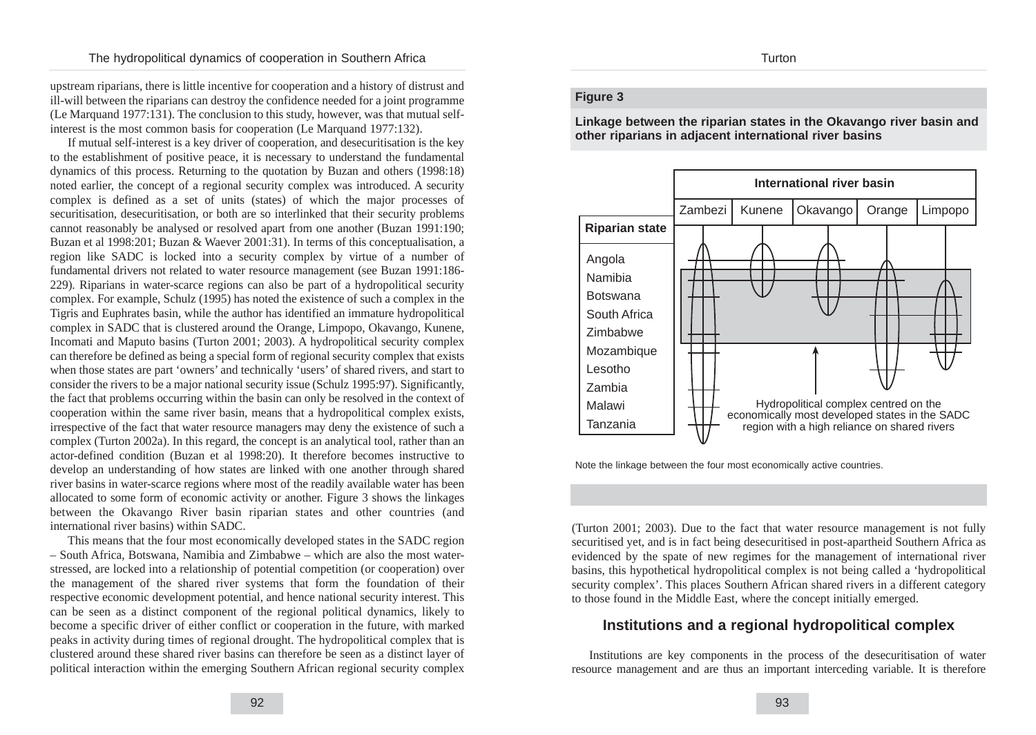upstream riparians, there is little incentive for cooperation and a history of distrust and ill-will between the riparians can destroy the confidence needed for a joint programme (Le Marquand 1977:131). The conclusion to this study, however, was that mutual selfinterest is the most common basis for cooperation (Le Marquand 1977:132).

If mutual self-interest is a key driver of cooperation, and desecuritisation is the key to the establishment of positive peace, it is necessary to understand the fundamental dynamics of this process. Returning to the quotation by Buzan and others (1998:18) noted earlier, the concept of a regional security complex was introduced. A security complex is defined as a set of units (states) of which the major processes of securitisation, desecuritisation, or both are so interlinked that their security problems cannot reasonably be analysed or resolved apart from one another (Buzan 1991:190; Buzan et al 1998:201; Buzan & Waever 2001:31). In terms of this conceptualisation, a region like SADC is locked into a security complex by virtue of a number of fundamental drivers not related to water resource management (see Buzan 1991:186- 229). Riparians in water-scarce regions can also be part of a hydropolitical security complex. For example, Schulz (1995) has noted the existence of such a complex in the Tigris and Euphrates basin, while the author has identified an immature hydropolitical complex in SADC that is clustered around the Orange, Limpopo, Okavango, Kunene, Incomati and Maputo basins (Turton 2001; 2003). A hydropolitical security complex can therefore be defined as being a special form of regional security complex that exists when those states are part 'owners' and technically 'users' of shared rivers, and start to consider the rivers to be a major national security issue (Schulz 1995:97). Significantly, the fact that problems occurring within the basin can only be resolved in the context of cooperation within the same river basin, means that a hydropolitical complex exists, irrespective of the fact that water resource managers may deny the existence of such a complex (Turton 2002a). In this regard, the concept is an analytical tool, rather than an actor-defined condition (Buzan et al 1998:20). It therefore becomes instructive to develop an understanding of how states are linked with one another through shared river basins in water-scarce regions where most of the readily available water has been allocated to some form of economic activity or another. Figure 3 shows the linkages between the Okavango River basin riparian states and other countries (and international river basins) within SADC.

This means that the four most economically developed states in the SADC region – South Africa, Botswana, Namibia and Zimbabwe – which are also the most waterstressed, are locked into a relationship of potential competition (or cooperation) over the management of the shared river systems that form the foundation of their respective economic development potential, and hence national security interest. This can be seen as a distinct component of the regional political dynamics, likely to become a specific driver of either conflict or cooperation in the future, with marked peaks in activity during times of regional drought. The hydropolitical complex that is clustered around these shared river basins can therefore be seen as a distinct layer of political interaction within the emerging Southern African regional security complex

#### **Figure 3**

**Linkage between the riparian states in the Okavango river basin and other riparians in adjacent international river basins**



Note the linkage between the four most economically active countries.

(Turton 2001; 2003). Due to the fact that water resource management is not fully securitised yet, and is in fact being desecuritised in post-apartheid Southern Africa as evidenced by the spate of new regimes for the management of international river basins, this hypothetical hydropolitical complex is not being called a 'hydropolitical security complex'. This places Southern African shared rivers in a different category to those found in the Middle East, where the concept initially emerged.

# **Institutions and a regional hydropolitical complex**

Institutions are key components in the process of the desecuritisation of water resource management and are thus an important interceding variable. It is therefore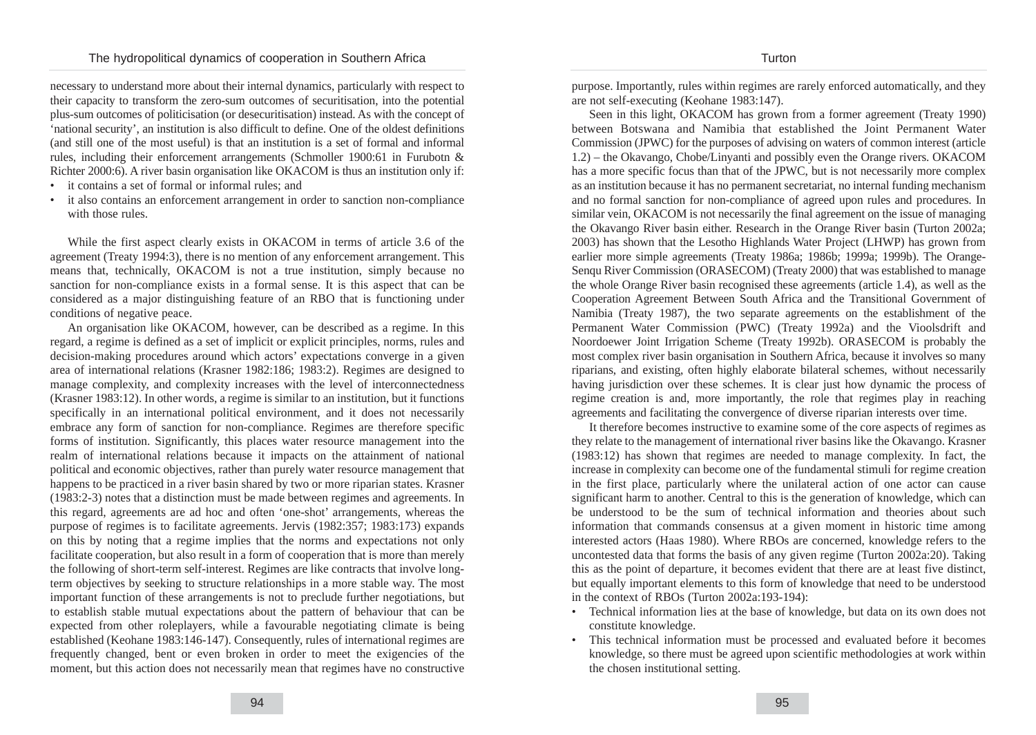necessary to understand more about their internal dynamics, particularly with respect to their capacity to transform the zero-sum outcomes of securitisation, into the potential plus-sum outcomes of politicisation (or desecuritisation) instead. As with the concept of 'national security', an institution is also difficult to define. One of the oldest definitions (and still one of the most useful) is that an institution is a set of formal and informal rules, including their enforcement arrangements (Schmoller 1900:61 in Furubotn & Richter 2000:6). A river basin organisation like OKACOM is thus an institution only if:

- it contains a set of formal or informal rules; and
- it also contains an enforcement arrangement in order to sanction non-compliance with those rules.

While the first aspect clearly exists in OKACOM in terms of article 3.6 of the agreement (Treaty 1994:3), there is no mention of any enforcement arrangement. This means that, technically, OKACOM is not a true institution, simply because no sanction for non-compliance exists in a formal sense. It is this aspect that can be considered as a major distinguishing feature of an RBO that is functioning under conditions of negative peace.

An organisation like OKACOM, however, can be described as a regime. In this regard, a regime is defined as a set of implicit or explicit principles, norms, rules and decision-making procedures around which actors' expectations converge in a given area of international relations (Krasner 1982:186; 1983:2). Regimes are designed to manage complexity, and complexity increases with the level of interconnectedness (Krasner 1983:12). In other words, a regime is similar to an institution, but it functions specifically in an international political environment, and it does not necessarily embrace any form of sanction for non-compliance. Regimes are therefore specific forms of institution. Significantly, this places water resource management into the realm of international relations because it impacts on the attainment of national political and economic objectives, rather than purely water resource management that happens to be practiced in a river basin shared by two or more riparian states. Krasner (1983:2-3) notes that a distinction must be made between regimes and agreements. In this regard, agreements are ad hoc and often 'one-shot' arrangements, whereas the purpose of regimes is to facilitate agreements. Jervis (1982:357; 1983:173) expands on this by noting that a regime implies that the norms and expectations not only facilitate cooperation, but also result in a form of cooperation that is more than merely the following of short-term self-interest. Regimes are like contracts that involve longterm objectives by seeking to structure relationships in a more stable way. The most important function of these arrangements is not to preclude further negotiations, but to establish stable mutual expectations about the pattern of behaviour that can be expected from other roleplayers, while a favourable negotiating climate is being established (Keohane 1983:146-147). Consequently, rules of international regimes are frequently changed, bent or even broken in order to meet the exigencies of the moment, but this action does not necessarily mean that regimes have no constructive purpose. Importantly, rules within regimes are rarely enforced automatically, and they are not self-executing (Keohane 1983:147).

Seen in this light, OKACOM has grown from a former agreement (Treaty 1990) between Botswana and Namibia that established the Joint Permanent Water Commission (JPWC) for the purposes of advising on waters of common interest (article 1.2) – the Okavango, Chobe/Linyanti and possibly even the Orange rivers. OKACOM has a more specific focus than that of the JPWC, but is not necessarily more complex as an institution because it has no permanent secretariat, no internal funding mechanism and no formal sanction for non-compliance of agreed upon rules and procedures. In similar vein, OKACOM is not necessarily the final agreement on the issue of managing the Okavango River basin either. Research in the Orange River basin (Turton 2002a; 2003) has shown that the Lesotho Highlands Water Project (LHWP) has grown from earlier more simple agreements (Treaty 1986a; 1986b; 1999a; 1999b). The Orange-Senqu River Commission (ORASECOM) (Treaty 2000) that was established to manage the whole Orange River basin recognised these agreements (article 1.4), as well as the Cooperation Agreement Between South Africa and the Transitional Government of Namibia (Treaty 1987), the two separate agreements on the establishment of the Permanent Water Commission (PWC) (Treaty 1992a) and the Vioolsdrift and Noordoewer Joint Irrigation Scheme (Treaty 1992b). ORASECOM is probably the most complex river basin organisation in Southern Africa, because it involves so many riparians, and existing, often highly elaborate bilateral schemes, without necessarily having jurisdiction over these schemes. It is clear just how dynamic the process of regime creation is and, more importantly, the role that regimes play in reaching agreements and facilitating the convergence of diverse riparian interests over time.

It therefore becomes instructive to examine some of the core aspects of regimes as they relate to the management of international river basins like the Okavango. Krasner (1983:12) has shown that regimes are needed to manage complexity. In fact, the increase in complexity can become one of the fundamental stimuli for regime creation in the first place, particularly where the unilateral action of one actor can cause significant harm to another. Central to this is the generation of knowledge, which can be understood to be the sum of technical information and theories about such information that commands consensus at a given moment in historic time among interested actors (Haas 1980). Where RBOs are concerned, knowledge refers to the uncontested data that forms the basis of any given regime (Turton 2002a:20). Taking this as the point of departure, it becomes evident that there are at least five distinct, but equally important elements to this form of knowledge that need to be understood in the context of RBOs (Turton 2002a:193-194):

- Technical information lies at the base of knowledge, but data on its own does not constitute knowledge.
- This technical information must be processed and evaluated before it becomes knowledge, so there must be agreed upon scientific methodologies at work within the chosen institutional setting.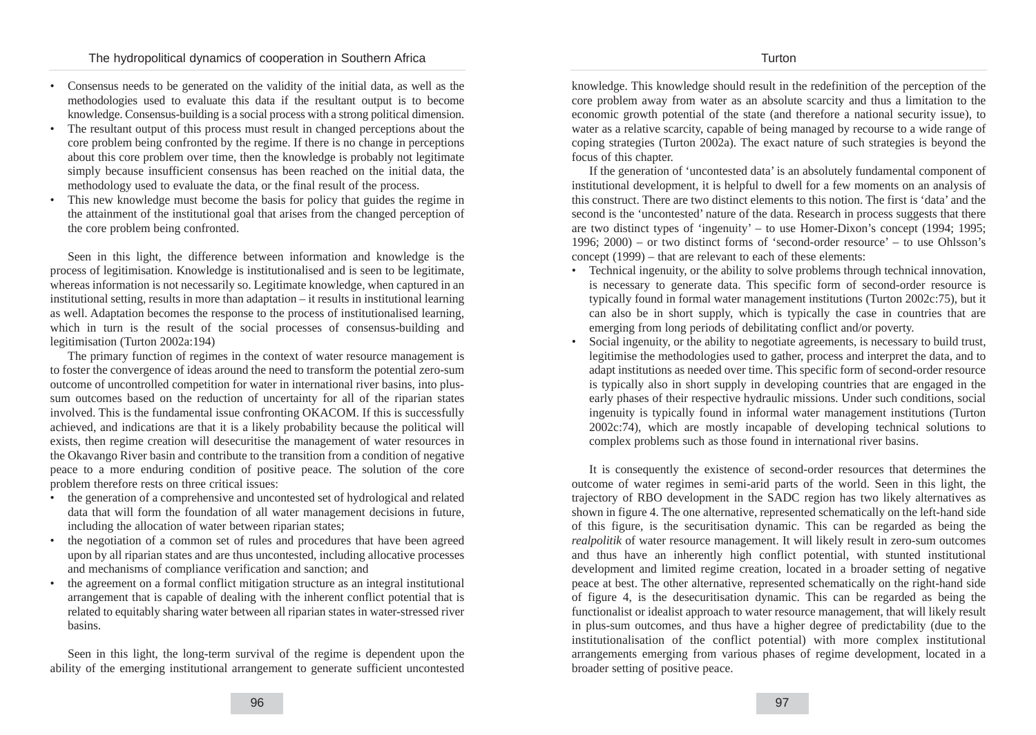- Consensus needs to be generated on the validity of the initial data, as well as the methodologies used to evaluate this data if the resultant output is to become knowledge. Consensus-building is a social process with a strong political dimension.
- The resultant output of this process must result in changed perceptions about the core problem being confronted by the regime. If there is no change in perceptions about this core problem over time, then the knowledge is probably not legitimate simply because insufficient consensus has been reached on the initial data, the methodology used to evaluate the data, or the final result of the process.
- This new knowledge must become the basis for policy that guides the regime in the attainment of the institutional goal that arises from the changed perception of the core problem being confronted.

Seen in this light, the difference between information and knowledge is the process of legitimisation. Knowledge is institutionalised and is seen to be legitimate, whereas information is not necessarily so. Legitimate knowledge, when captured in an institutional setting, results in more than adaptation – it results in institutional learning as well. Adaptation becomes the response to the process of institutionalised learning, which in turn is the result of the social processes of consensus-building and legitimisation (Turton 2002a:194)

The primary function of regimes in the context of water resource management is to foster the convergence of ideas around the need to transform the potential zero-sum outcome of uncontrolled competition for water in international river basins, into plussum outcomes based on the reduction of uncertainty for all of the riparian states involved. This is the fundamental issue confronting OKACOM. If this is successfully achieved, and indications are that it is a likely probability because the political will exists, then regime creation will desecuritise the management of water resources in the Okavango River basin and contribute to the transition from a condition of negative peace to a more enduring condition of positive peace. The solution of the core problem therefore rests on three critical issues:

- the generation of a comprehensive and uncontested set of hydrological and related data that will form the foundation of all water management decisions in future, including the allocation of water between riparian states;
- the negotiation of a common set of rules and procedures that have been agreed upon by all riparian states and are thus uncontested, including allocative processes and mechanisms of compliance verification and sanction; and
- the agreement on a formal conflict mitigation structure as an integral institutional arrangement that is capable of dealing with the inherent conflict potential that is related to equitably sharing water between all riparian states in water-stressed river basins.

Seen in this light, the long-term survival of the regime is dependent upon the ability of the emerging institutional arrangement to generate sufficient uncontested knowledge. This knowledge should result in the redefinition of the perception of the core problem away from water as an absolute scarcity and thus a limitation to the economic growth potential of the state (and therefore a national security issue), to water as a relative scarcity, capable of being managed by recourse to a wide range of coping strategies (Turton 2002a). The exact nature of such strategies is beyond the focus of this chapter.

If the generation of 'uncontested data' is an absolutely fundamental component of institutional development, it is helpful to dwell for a few moments on an analysis of this construct. There are two distinct elements to this notion. The first is 'data' and the second is the 'uncontested' nature of the data. Research in process suggests that there are two distinct types of 'ingenuity' – to use Homer-Dixon's concept (1994; 1995; 1996; 2000) – or two distinct forms of 'second-order resource' – to use Ohlsson's concept (1999) – that are relevant to each of these elements:

- Technical ingenuity, or the ability to solve problems through technical innovation, is necessary to generate data. This specific form of second-order resource is typically found in formal water management institutions (Turton 2002c:75), but it can also be in short supply, which is typically the case in countries that are emerging from long periods of debilitating conflict and/or poverty.
- Social ingenuity, or the ability to negotiate agreements, is necessary to build trust, legitimise the methodologies used to gather, process and interpret the data, and to adapt institutions as needed over time. This specific form of second-order resource is typically also in short supply in developing countries that are engaged in the early phases of their respective hydraulic missions. Under such conditions, social ingenuity is typically found in informal water management institutions (Turton 2002c:74), which are mostly incapable of developing technical solutions to complex problems such as those found in international river basins.

It is consequently the existence of second-order resources that determines the outcome of water regimes in semi-arid parts of the world. Seen in this light, the trajectory of RBO development in the SADC region has two likely alternatives as shown in figure 4. The one alternative, represented schematically on the left-hand side of this figure, is the securitisation dynamic. This can be regarded as being the *realpolitik* of water resource management. It will likely result in zero-sum outcomes and thus have an inherently high conflict potential, with stunted institutional development and limited regime creation, located in a broader setting of negative peace at best. The other alternative, represented schematically on the right-hand side of figure 4, is the desecuritisation dynamic. This can be regarded as being the functionalist or idealist approach to water resource management, that will likely result in plus-sum outcomes, and thus have a higher degree of predictability (due to the institutionalisation of the conflict potential) with more complex institutional arrangements emerging from various phases of regime development, located in a broader setting of positive peace.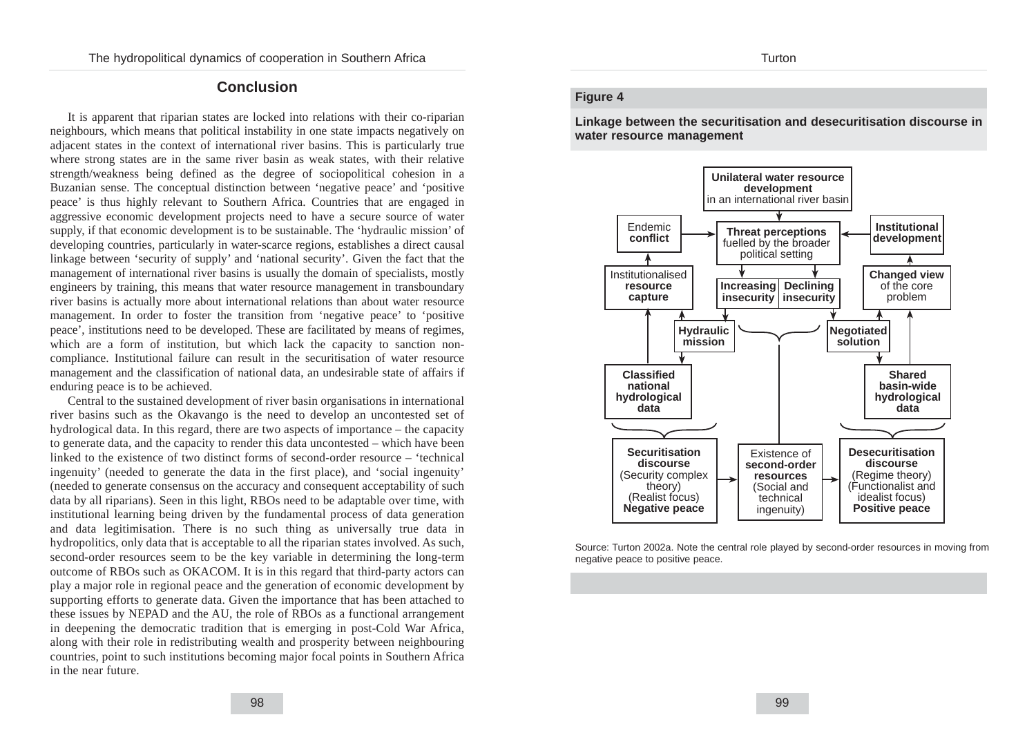## **Conclusion**

It is apparent that riparian states are locked into relations with their co-riparian neighbours, which means that political instability in one state impacts negatively on adjacent states in the context of international river basins. This is particularly true where strong states are in the same river basin as weak states, with their relative strength/weakness being defined as the degree of sociopolitical cohesion in a Buzanian sense. The conceptual distinction between 'negative peace' and 'positive peace' is thus highly relevant to Southern Africa. Countries that are engaged in aggressive economic development projects need to have a secure source of water supply, if that economic development is to be sustainable. The 'hydraulic mission' of developing countries, particularly in water-scarce regions, establishes a direct causal linkage between 'security of supply' and 'national security'. Given the fact that the management of international river basins is usually the domain of specialists, mostly engineers by training, this means that water resource management in transboundary river basins is actually more about international relations than about water resource management. In order to foster the transition from 'negative peace' to 'positive peace', institutions need to be developed. These are facilitated by means of regimes, which are a form of institution, but which lack the capacity to sanction noncompliance. Institutional failure can result in the securitisation of water resource management and the classification of national data, an undesirable state of affairs if enduring peace is to be achieved.

Central to the sustained development of river basin organisations in international river basins such as the Okavango is the need to develop an uncontested set of hydrological data. In this regard, there are two aspects of importance – the capacity to generate data, and the capacity to render this data uncontested – which have been linked to the existence of two distinct forms of second-order resource – 'technical ingenuity' (needed to generate the data in the first place), and 'social ingenuity' (needed to generate consensus on the accuracy and consequent acceptability of such data by all riparians). Seen in this light, RBOs need to be adaptable over time, with institutional learning being driven by the fundamental process of data generation and data legitimisation. There is no such thing as universally true data in hydropolitics, only data that is acceptable to all the riparian states involved. As such, second-order resources seem to be the key variable in determining the long-term outcome of RBOs such as OKACOM. It is in this regard that third-party actors can play a major role in regional peace and the generation of economic development by supporting efforts to generate data. Given the importance that has been attached to these issues by NEPAD and the AU, the role of RBOs as a functional arrangement in deepening the democratic tradition that is emerging in post-Cold War Africa, along with their role in redistributing wealth and prosperity between neighbouring countries, point to such institutions becoming major focal points in Southern Africa in the near future.

#### **Figure 4**

**Linkage between the securitisation and desecuritisation discourse in water resource management** 



Source: Turton 2002a. Note the central role played by second-order resources in moving from negative peace to positive peace.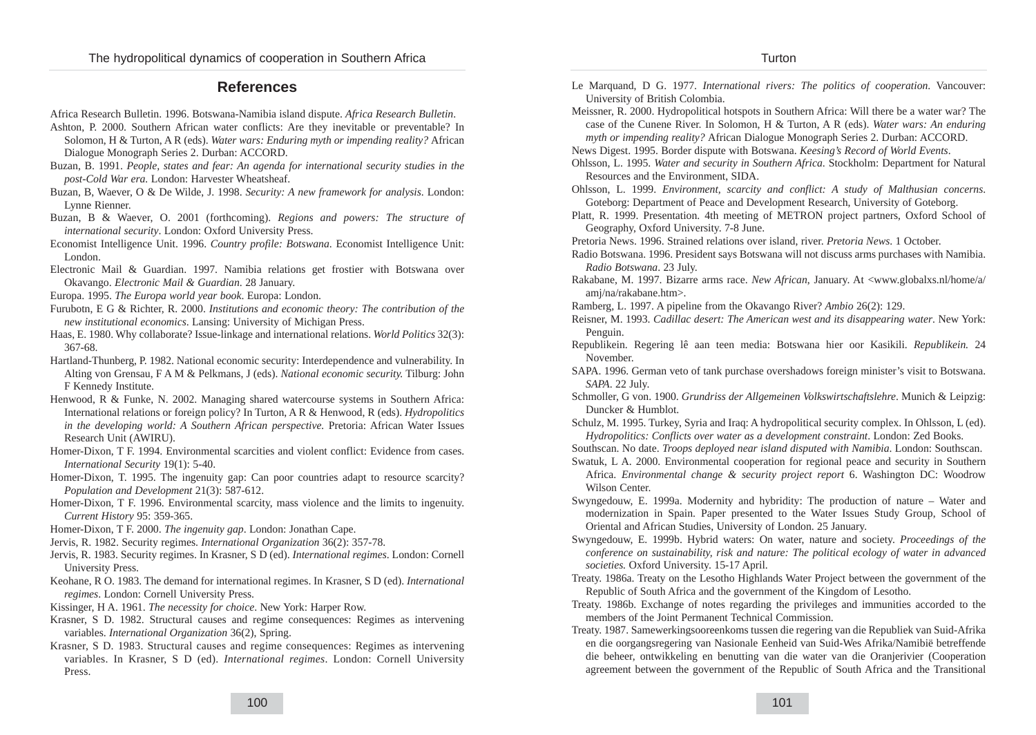# **References**

- Africa Research Bulletin. 1996. Botswana-Namibia island dispute. *Africa Research Bulletin*.
- Ashton, P. 2000. Southern African water conflicts: Are they inevitable or preventable? In Solomon, H & Turton, A R (eds). *Water wars: Enduring myth or impending reality?* African Dialogue Monograph Series 2. Durban: ACCORD.
- Buzan, B. 1991. *People, states and fear: An agenda for international security studies in the post-Cold War era.* London: Harvester Wheatsheaf.
- Buzan, B, Waever, O & De Wilde, J. 1998. *Security: A new framework for analysis*. London: Lynne Rienner.
- Buzan, B & Waever, O. 2001 (forthcoming). *Regions and powers: The structure of international security*. London: Oxford University Press.
- Economist Intelligence Unit. 1996. *Country profile: Botswana*. Economist Intelligence Unit: London.
- Electronic Mail & Guardian. 1997. Namibia relations get frostier with Botswana over Okavango. *Electronic Mail & Guardian*. 28 January.
- Europa. 1995. *The Europa world year book*. Europa: London.
- Furubotn, E G & Richter, R. 2000. *Institutions and economic theory: The contribution of the new institutional economics*. Lansing: University of Michigan Press.
- Haas, E. 1980. Why collaborate? Issue-linkage and international relations. *World Politics* 32(3): 367-68.
- Hartland-Thunberg, P. 1982. National economic security: Interdependence and vulnerability. In Alting von Grensau, F A M & Pelkmans, J (eds). *National economic security.* Tilburg: John F Kennedy Institute.
- Henwood, R & Funke, N. 2002. Managing shared watercourse systems in Southern Africa: International relations or foreign policy? In Turton, A R & Henwood, R (eds). *Hydropolitics in the developing world: A Southern African perspective.* Pretoria: African Water Issues Research Unit (AWIRU).
- Homer-Dixon, T F. 1994. Environmental scarcities and violent conflict: Evidence from cases. *International Security* 19(1): 5-40.
- Homer-Dixon, T. 1995. The ingenuity gap: Can poor countries adapt to resource scarcity? *Population and Development* 21(3): 587-612.
- Homer-Dixon, T F. 1996. Environmental scarcity, mass violence and the limits to ingenuity. *Current History* 95: 359-365.
- Homer-Dixon, T F. 2000. *The ingenuity gap*. London: Jonathan Cape.
- Jervis, R. 1982. Security regimes. *International Organization* 36(2): 357-78.
- Jervis, R. 1983. Security regimes. In Krasner, S D (ed). *International regimes*. London: Cornell University Press.
- Keohane, R O. 1983. The demand for international regimes. In Krasner, S D (ed). *International regimes*. London: Cornell University Press.
- Kissinger, H A. 1961. *The necessity for choice*. New York: Harper Row.
- Krasner, S D. 1982. Structural causes and regime consequences: Regimes as intervening variables. *International Organization* 36(2), Spring.
- Krasner, S D. 1983. Structural causes and regime consequences: Regimes as intervening variables. In Krasner, S D (ed). *International regimes*. London: Cornell University Press.
- Le Marquand, D G. 1977. *International rivers: The politics of cooperation*. Vancouver: University of British Colombia.
- Meissner, R. 2000. Hydropolitical hotspots in Southern Africa: Will there be a water war? The case of the Cunene River. In Solomon, H & Turton, A R (eds). *Water wars: An enduring myth or impending reality?* African Dialogue Monograph Series 2. Durban: ACCORD.
- News Digest. 1995. Border dispute with Botswana. *Keesing's Record of World Events*.
- Ohlsson, L. 1995. *Water and security in Southern Africa*. Stockholm: Department for Natural Resources and the Environment, SIDA.
- Ohlsson, L. 1999. *Environment, scarcity and conflict: A study of Malthusian concerns*. Goteborg: Department of Peace and Development Research, University of Goteborg.
- Platt, R. 1999. Presentation. 4th meeting of METRON project partners, Oxford School of Geography, Oxford University. 7-8 June.
- Pretoria News. 1996. Strained relations over island, river. *Pretoria News*. 1 October.
- Radio Botswana. 1996. President says Botswana will not discuss arms purchases with Namibia. *Radio Botswana*. 23 July.
- Rakabane, M. 1997. Bizarre arms race. *New African*, January. At <www.globalxs.nl/home/a/ amj/na/rakabane.htm>.
- Ramberg, L. 1997. A pipeline from the Okavango River? *Ambio* 26(2): 129.
- Reisner, M. 1993. *Cadillac desert: The American west and its disappearing water*. New York: Penguin.
- Republikein. Regering lê aan teen media: Botswana hier oor Kasikili. *Republikein.* 24 November.
- SAPA. 1996. German veto of tank purchase overshadows foreign minister's visit to Botswana. *SAPA*. 22 July.
- Schmoller, G von. 1900. *Grundriss der Allgemeinen Volkswirtschaftslehre*. Munich & Leipzig: Duncker & Humblot.
- Schulz, M. 1995. Turkey, Syria and Iraq: A hydropolitical security complex. In Ohlsson, L (ed). *Hydropolitics: Conflicts over water as a development constraint*. London: Zed Books.
- Southscan. No date. *Troops deployed near island disputed with Namibia*. London: Southscan.
- Swatuk, L A. 2000. Environmental cooperation for regional peace and security in Southern Africa. *Environmental change & security project report* 6. Washington DC: Woodrow Wilson Center.
- Swyngedouw, E. 1999a. Modernity and hybridity: The production of nature Water and modernization in Spain. Paper presented to the Water Issues Study Group, School of Oriental and African Studies, University of London. 25 January.
- Swyngedouw, E. 1999b. Hybrid waters: On water, nature and society. *Proceedings of the conference on sustainability, risk and nature: The political ecology of water in advanced societies.* Oxford University. 15-17 April.
- Treaty. 1986a. Treaty on the Lesotho Highlands Water Project between the government of the Republic of South Africa and the government of the Kingdom of Lesotho.
- Treaty. 1986b. Exchange of notes regarding the privileges and immunities accorded to the members of the Joint Permanent Technical Commission.
- Treaty. 1987. Samewerkingsooreenkoms tussen die regering van die Republiek van Suid-Afrika en die oorgangsregering van Nasionale Eenheid van Suid-Wes Afrika/Namibië betreffende die beheer, ontwikkeling en benutting van die water van die Oranjerivier (Cooperation agreement between the government of the Republic of South Africa and the Transitional